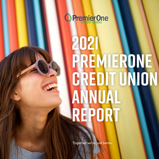

# **2021 PREMIERONE CREDIT UNION ANNUAL REPORT**

**Together we're just better.**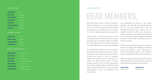#### CHAIR & PRESIDENT REPORT

## **DEAR MEMBERS,**

Now that 2021 has come to a close, we wanted to begin by thanking you. Your continued support of our credit union has allowed us the privilege of serving you, our members, and the community. You have our deepest appreciation and gratitude.

Despite areas of continued uncertainty in the economy, PremierOne Credit Union had another successful year and remains healthy and stable. As of December 2021, total assets at year-end were \$564 million, and we remain well capitalized.

As the pandemic stretched into its second year, PremierOne proved again and again its value to the members. We continued to provide services, products and access to help our members achieve their financial goals. In December, we opened our newest branch location in Gilroy. Looking forward to 2022, we will be introducing a new online banking platform. We'll share more details as launch date nears, but you can expect improvements in both user experience and functionality.

SEAMUS MORAN ANDREA BREWER BOARD CHAIR PRESIDENT & CEO

Our membership has grown to over 23,000 members. We would like to personally welcome the over 1,700 new members who joined the PremierOne family last year. Many of our new members joined the credit union through our referral campaign. Your referrals demonstrated your trust in us and we appreciate that you shared the gift of Credit Union membership with your friends and family.

The PremierOne staff deserves special recognition this year. Throughout the challenges we all faced they never wavered in their commitment to provide extraordinary service to our members. We are very grateful for their resolve and passion.

Thank you again for being a part of the PremierOne family. We treasure each and every one of you and truly believe that together, we're just better.

#### BOARD OF DIRECTORS

| <b>SEAMUS MORAN</b> | CHAIR             |
|---------------------|-------------------|
| RICH TOLEDO         | <b>VICE CHAIR</b> |
| THOMAS BREWER       | <b>SECRETARY</b>  |
| TOM SUCHEVITS       | <b>TREASURER</b>  |
| DON BARTELS         | <b>DIRECTOR</b>   |
| CHRISTINA SALVATIER | <b>DIRECTOR</b>   |
| MARCIA LILLIS       | DIRFCTOR          |

#### SUPERVISORY COMMITTEE

| GREGORY PECK           | CHAIR         |
|------------------------|---------------|
| <b>BARBARA CANUP</b>   | <b>MEMBER</b> |
| <b>FRANCES EDWARDS</b> | <b>MEMBER</b> |
| TEJINDER SINGH         | <b>MEMBER</b> |

#### EXECUTIVE/SENIOR MANAGEMENT

| <b>ANDREA BREWER</b>   | <b>PRESIDENT &amp; CEO</b>    |
|------------------------|-------------------------------|
| ALICIA KRETSCH         | <b>VP LENDING</b>             |
| <b>BRAD THOMAS</b>     | <b>VP FINANCE &amp; CFO</b>   |
| DODY GEMETTE           | <b>VP BUSINESS OPERATIONS</b> |
| <b>JANICE JOHNSON</b>  | <b>VP MARKETING</b>           |
| <b>LECIA ROUNDTREE</b> | <b>VP HUMAN RESOURCES</b>     |
| <b>RICHARD TRESLER</b> | <b>VP MEMBER SERVICES</b>     |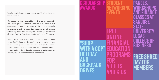#### 2021 HIGHLIGHTS.

Despite the challenges in 2021, the year was full of highlights for the credit union.

Our support of the communities we live in, and especially local youth groups, continued unabated. We continued our commitment to our student members by granting multiple scholarship awards to deserving students, hosted student networking events, and offered panels, workshops and finance classes at San Jose State University Lucas College of Business.

**PANELS, WORKSHOPS AND FINANCE CLASSES AT SAN JOSE STATE UNIVERSITY LUCAS COLLEGE OF BUSINESS "SHOP** 

Toward the end of the year, we continued our popular "Shop with a Cop" holiday and backpack drives, and to further the financial literacy for all our members, we taught free online financial education programs for both adults and kids. Finally, we provided free Shred Days for members to make it easy to correctly dispose of sensitive financial documents.

### **SCHOLARSHIP AWARDS STUDENT NETWORKING EVENTS WITH A COP" HOLIDAY AND BACKPACK DRIVES FREE ONLINE FINANCIAL EDUCATION PROGRAMS FOR ADULTS AND KIDS**



**FREE SHRED DAY FOR MEMBERS**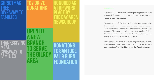#### 2021 HIGHLIGHTS.

We've found one of the most valuable ways to help the community is through donations. In 2021, we continued our support of a variety of local organizations.

We donated to both the San Jose Police Athletic League & the Burn Foundation—two great causes we're proud to support. With food scarcity being an issue for so many, we made a point to donate Thanksgiving meals to many local families. And for Christmas, we helped families celebrate with our Christmas tree giveaway plus donated toys for our toy drive.

Finally, as we have every year, we challenged ourselves to make PremierOne an even better place to work. This year we were recognized as a Top Work Place by the Bay Area Newsgroup.

### **Christmas Tree giveaway to families**

## **toy drive donations**

**Honored as a Top Work place by the bay area newsgroup** 

### **Thanksgiving Meal giveaway to families Opened a new branch to serve the Gilroy area**

## **DONATIONS TO SAN JOSE PAL & BURN FOUNDATION**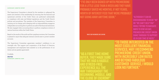#### SUPERVISORY COMMITTEE REPORT

The Supervisory Committee is elected by the members to safeguard the assets and interests of the membership by ensuring that the financial and operational activities of the Credit Union are performed substantially in compliance with state and federal regulations and the Credit Union's policies and procedures. The members of the Supervisory Committee, in carrying out our charge, and in keeping with our responsibilities, engage an independent accounting firm to perform an audit of the financial statements. We also engaged other accounting firms to perform compliance reviews of various functions within the Credit Union.

Based on the results of the audit and the compliance reviews, the Committee is pleased to report that adequate internal controls exist to protect member accounts.

The Supervisory Committee appreciates members' confidence in our oversight role. The support and cooperation of the Board of Directors, management and employees have assisted us in the performance of our duties and are greatly appreciated.

Cordially,

Greg Peck SUPERVISORY COMMITTEE CHAIR

**"I'VE ONLY BEEN SIGNED UP WITH PREMIERONE FOR A LITTLE LESS THAN A WEEK AND THEY HAVE PROBABLY SAVED ME MONTHS, IF NOT YEARS, WORTH OF INTEREST FEES THAT WERE PROBABLY NOT GOING AWAY ANYTIME SOON."**

WHAT OUR MEMBERS ARE SAYING

**"AS A FIRST TIME HOME BUYER, THEY MADE SURE THAT WE HAD A HASSLE AND STRESS-FREE EXPERIENCE ALL THE WAY THROUGHOUT THE BEGINNING, MIDDLE, AND THE CLOSE OF ESCROW!"**

**"ALTHOUGH IT CAN BE DISCOURAGING TO HEAR "NO" OR "WE CAN'T HELP YOU" WHILE TRYING TO NAVIGATE WAYS TO STAY AFLOAT, PREMIER ONE CREDIT UNION CAME THROUGH TO SUPPORT US IN OUR TIME OF NEED."**

**"TO THOSE INTERESTED IN THE MOST EXCELLENT FINANCIAL SERVICES, MAY I RECOMMEND PREMIERONE CREDIT UNION. WITH INCREDIBLY LOW RATES AND BEYOND FABULOUS CUSTOMER SERVICE, I WOULD LOOK NO FURTHER."**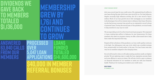#### CREDIT MANAGER REPORT

2021 was a record year for your credit union. We originated \$141.6 million in new loans during the year, which was a new record for us. Our loan balances, despite unusually high refinance activity, also hit a new record of \$317.1 million. Much of our loan growth was in first mortgages as our members took advantage of record low interest rates to refinance their loans. However, we also had strong consumer loan growth as we originated a record volume of personal loans. During the second year of the pandemic, we stood ready to help members in any way we could.

We are especially proud of our first-time home buyer program. We originated 11 loans, totaling \$5.9 million in balances, for new homeowners. For these members who meet our program criteria, we offer a discounted rate to help them make this important first step.

### **ANSWERED 63,840 CALLS FROM OUR MEMBERS**

Despite all the turbulence of the pandemic, our loan credit quality continues to be high. Our delinquency rate was 0.17%, which was a modest increase from exceptionally low levels earlier in the year. Our loan losses were also very low as members adapted to the changing times.

As we look forward to 2022, we will make meeting members needs our highest priority. We are exploring ways to make the loan origination process faster and more efficient to serve you better. We will also look for ways to enhance our financial education for our members to assist you with your financial health. Thank you for trusting your needs to your credit union.

Brad Thomas VP FINANCE & CFO

## **DIVIDENDS WE GAVE BACK TO MEMBERS TOTALED \$1,136,000**

### **PROCESSED OVER 5,047 LOAN APPLICATIONS \$40,000 IN MEMBER REFERRAL BONUSES LOANS FUNDED TOTALED \$141,600,000 MEMBERSHIP GREW BY 1,761 AND CONTINUES TO GROW**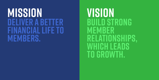# **DELIVER A BETTER FINANCIAL LIFE TO MEMBERS. MISSION**

**BUILD STRONG MEMBER RELATIONSHIPS, WHICH LEADS TO GROWTH. VISION**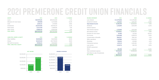## **2021 PREMIERONE CREDIT UNION FINANCIALS**





TOTAL LIABILITIES & EQUITY

| <b>ASSETS</b>                           | 2021          | 2020          | <b>% CHANGE</b> |
|-----------------------------------------|---------------|---------------|-----------------|
| Loans                                   | \$317,979,251 | \$291,551,300 | 9.1%            |
| Allowance for loan losses               | (947,690)     | (1, 377, 269) | $-31.2%$        |
| Cash                                    | 2,294,121     | 1,797,940     | 27.6%           |
| Investments                             | 222,072,926   | 199,740,124   | 11.2%           |
| Fixed assets                            | 12,213,430    | 11,980,916    | 1.9%            |
| Other assets                            | 10,808,392    | 10,609,389    | 1.9%            |
| <b>TOTAL ASSETS</b>                     | \$564,420,430 | \$514,302,400 | 9.7%            |
| <b>LIABILITIES, SHARES &amp; EQUITY</b> | 2021          | 2020          | <b>% CHANGE</b> |
| Other liabilities                       | \$2,830,805   | \$2,187,608   | 29.4%           |
| Shares                                  | 514,043,414   | 464.778.949   | 10.6%           |
| Net worth & reserves                    | 47.546.211    | 47.335.843    | 0.4%            |

\$514,302,400

9.7%

\$564,420,430

| <b>INCOME STATEMENT</b>            | 2021         |
|------------------------------------|--------------|
| Loan interest                      | \$12,979,858 |
| Investment interest                | 1,415,612    |
| <b>Total Interest Income</b>       | 14,395,470   |
| <b>Dividends</b>                   | 1,135,859    |
| Interest expense                   |              |
| Total interest expense             | 1,135,859    |
| Net interest income                | 13,259,611   |
| Provision for Joan Josses          | (9, 395)     |
| Fee income                         | 3,364,688    |
| <b>Compensation &amp; Benefits</b> | 7,840,597    |
| Office operations                  | 3,387,888    |
| Marketing                          | 399,044      |
| Professional services              | 1,475,174    |
| Loan service                       | 1,138,715    |
| <b>NCUSIF</b> assessment           |              |
| Other                              | 296,788      |
| Total noninterest expense          | 14,538,206   |
| Gain/(loss) on sale of investments | (16, 312)    |
| <b>NET INCOME</b>                  | \$2,079,176  |

| 2020         | <b>% CHANGE</b> |
|--------------|-----------------|
| \$13,376,585 | $-3.0%$         |
| 1,643,347    | $-13.9%$        |
| 15,019,932   | $-4.2%$         |
| 1,653,599    | $-31.3%$        |
|              |                 |
| 1,653,599    | $-31.3%$        |
| 13,366,333   | $-0.8%$         |
| 612,516      | $-101.5%$       |
| 2,909,979    | 15.6%           |
| 7,961,335    | $-1.5%$         |
| 3,542,933    | $-4.4%$         |
| 425,860      | $-6.3%$         |
| 1,492,465    | $-1.2%$         |
| 984,728      | 15.6%           |
|              |                 |
| 182,307      | 62.8%           |
| 14,589,628   | $-0.4%$         |
|              |                 |
| \$1,074,168  | 93.6%           |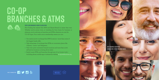# **CO-OP BRANCHES & ATMS**





#### Over 5,000 branches. Nearly 30,000 ATMs.

Now finding the nearest free ATM and Shared Branch is easier than ever. Whether you're across town, or traveling far from home for business or pleasure, you're welcome at branches and ATMs wherever you see the CO-OP logos. Your credit union membership means you can:

- **+** Use nearly 30,000 surcharge-free ATM locations—more than some of the biggest banks offer
- **+** Take advantage of surcharge-free ATMs at convenient places like 7-Eleven® , Costco® and Walgreens
- **+** Visit over 5,000 convenient branch locations and more than 2,000 self-service locations covering all 50 states
- **+** Easily locate ATMs and branches through any of our locator tools including phone, mobile app or internet by visiting co-opcreditunions.org